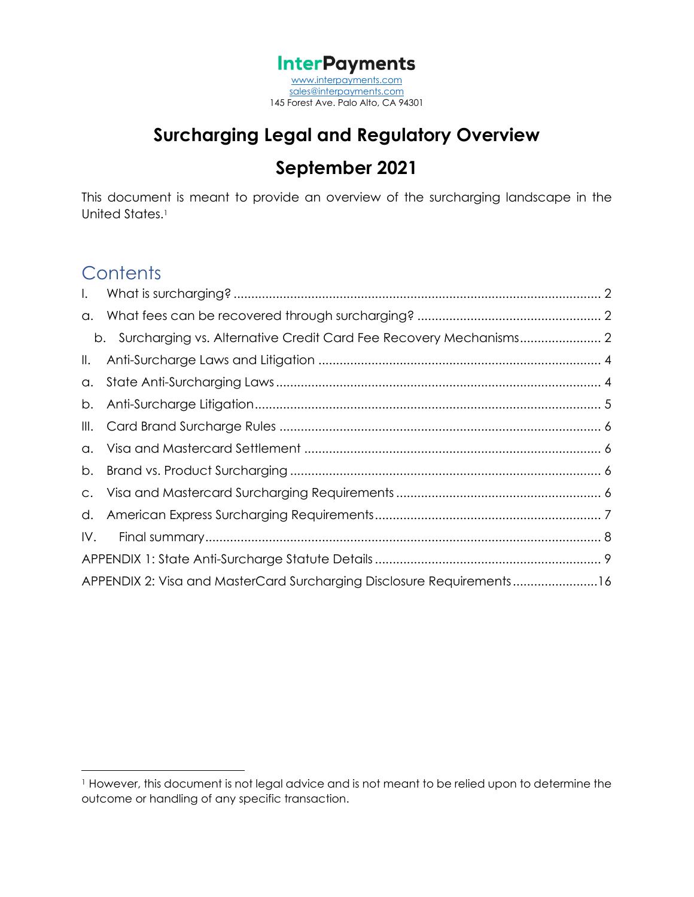**InterPayments** [www.interpayments.com](http://www.interpayments.com/) [sales@interpayments.com](mailto:sales@interpayments.com) 145 Forest Ave. Palo Alto, CA 94301

## **Surcharging Legal and Regulatory Overview September 2021**

This document is meant to provide an overview of the surcharging landscape in the United States.<sup>1</sup>

## **Contents**

| $\mathbf{L}$  |                                                                       |  |
|---------------|-----------------------------------------------------------------------|--|
|               |                                                                       |  |
|               |                                                                       |  |
| $\parallel$ . |                                                                       |  |
| a.            |                                                                       |  |
| b.            |                                                                       |  |
|               |                                                                       |  |
|               |                                                                       |  |
|               |                                                                       |  |
|               |                                                                       |  |
|               |                                                                       |  |
| IV.           |                                                                       |  |
|               |                                                                       |  |
|               | APPENDIX 2: Visa and MasterCard Surcharging Disclosure Requirements16 |  |

<sup>1</sup> However, this document is not legal advice and is not meant to be relied upon to determine the outcome or handling of any specific transaction.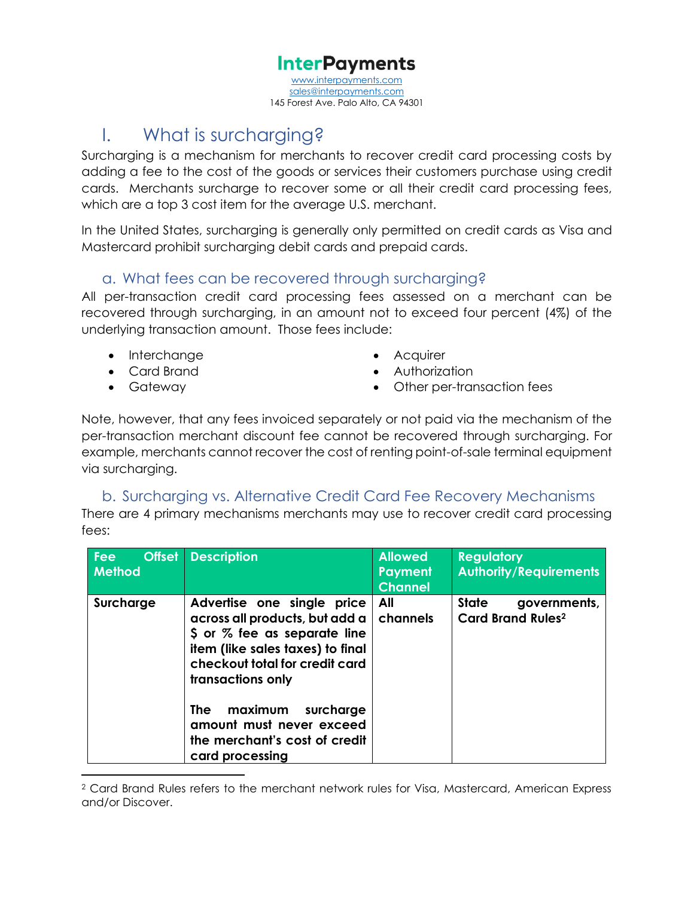interpayments.com [sales@interpayments.com](mailto:sales@interpayments.com) 145 Forest Ave. Palo Alto, CA 94301

## <span id="page-1-0"></span>I. What is surcharging?

Surcharging is a mechanism for merchants to recover credit card processing costs by adding a fee to the cost of the goods or services their customers purchase using credit cards. Merchants surcharge to recover some or all their credit card processing fees, which are a top 3 cost item for the average U.S. merchant.

In the United States, surcharging is generally only permitted on credit cards as Visa and Mastercard prohibit surcharging debit cards and prepaid cards.

### <span id="page-1-1"></span>a. What fees can be recovered through surcharging?

All per-transaction credit card processing fees assessed on a merchant can be recovered through surcharging, in an amount not to exceed four percent (4%) of the underlying transaction amount. Those fees include:

- Interchange Acquirer
- 
- 
- 
- Card Brand  **Authorization**
- Gateway Other per-transaction fees

Note, however, that any fees invoiced separately or not paid via the mechanism of the per-transaction merchant discount fee cannot be recovered through surcharging. For example, merchants cannot recover the cost of renting point-of-sale terminal equipment via surcharging.

### b. Surcharging vs. Alternative Credit Card Fee Recovery Mechanisms

<span id="page-1-2"></span>There are 4 primary mechanisms merchants may use to recover credit card processing fees:

| <b>Offset</b><br><b>Fee</b><br><b>Method</b> | <b>Description</b>                                                                                                                                                                                                                                                                                            | <b>Allowed</b><br><b>Payment</b><br><b>Channel</b> | <b>Regulatory</b><br><b>Authority/Requirements</b>                  |
|----------------------------------------------|---------------------------------------------------------------------------------------------------------------------------------------------------------------------------------------------------------------------------------------------------------------------------------------------------------------|----------------------------------------------------|---------------------------------------------------------------------|
| Surcharge                                    | Advertise one single price<br>across all products, but add a<br>\$ or % fee as separate line<br>item (like sales taxes) to final<br>checkout total for credit card<br>transactions only<br>maximum<br><b>The</b><br>surcharge<br>amount must never exceed<br>the merchant's cost of credit<br>card processing | All<br>channels                                    | <b>State</b><br>governments,<br><b>Card Brand Rules<sup>2</sup></b> |

<sup>2</sup> Card Brand Rules refers to the merchant network rules for Visa, Mastercard, American Express and/or Discover.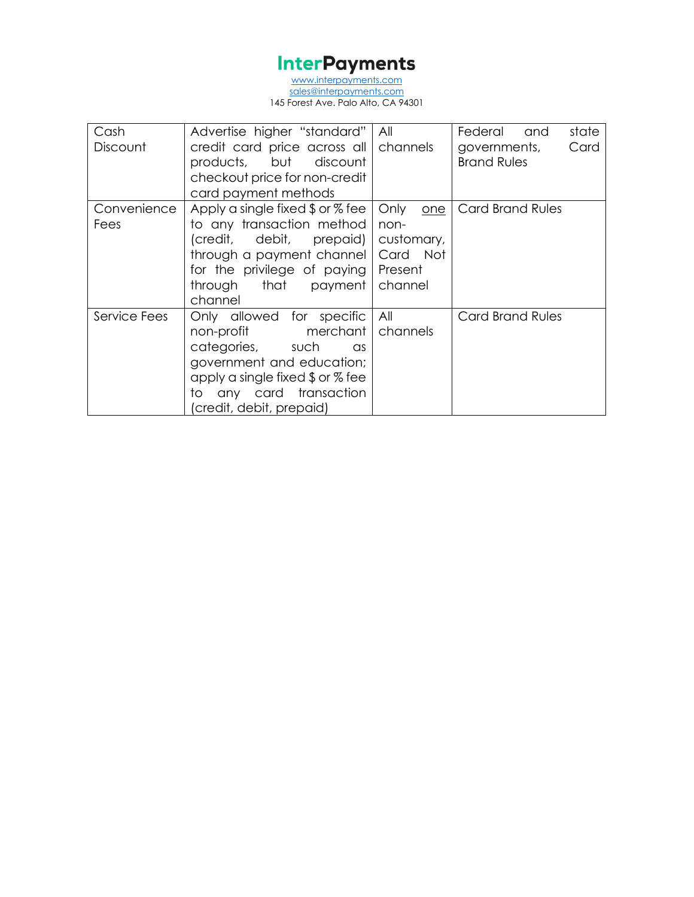[www.interpayments.com](http://www.interpayments.com/) [sales@interpayments.com](mailto:sales@interpayments.com) 145 Forest Ave. Palo Alto, CA 94301

| Cash         | Advertise higher "standard"                             | All         | state<br>Federal<br>and |
|--------------|---------------------------------------------------------|-------------|-------------------------|
| Discount     | credit card price across all                            | channels    | Card<br>governments,    |
|              | products, but discount                                  |             | <b>Brand Rules</b>      |
|              | checkout price for non-credit                           |             |                         |
|              | card payment methods                                    |             |                         |
| Convenience  | Apply a single fixed $\frac{6}{3}$ or $\frac{6}{3}$ fee | Only<br>one | Card Brand Rules        |
| Fees         | to any transaction method                               | non-        |                         |
|              | (credit, debit, prepaid)                                | customary,  |                         |
|              | through a payment channel                               | Card Not    |                         |
|              | for the privilege of paying                             | Present     |                         |
|              | through that payment                                    | channel     |                         |
|              | channel                                                 |             |                         |
| Service Fees | Only allowed for specific                               | All         | Card Brand Rules        |
|              | non-profit merchant                                     | channels    |                         |
|              | categories, such<br>as                                  |             |                         |
|              | government and education;                               |             |                         |
|              | apply a single fixed $\frac{6}{3}$ or $\frac{7}{6}$ fee |             |                         |
|              | any card transaction<br>to                              |             |                         |
|              | (credit, debit, prepaid)                                |             |                         |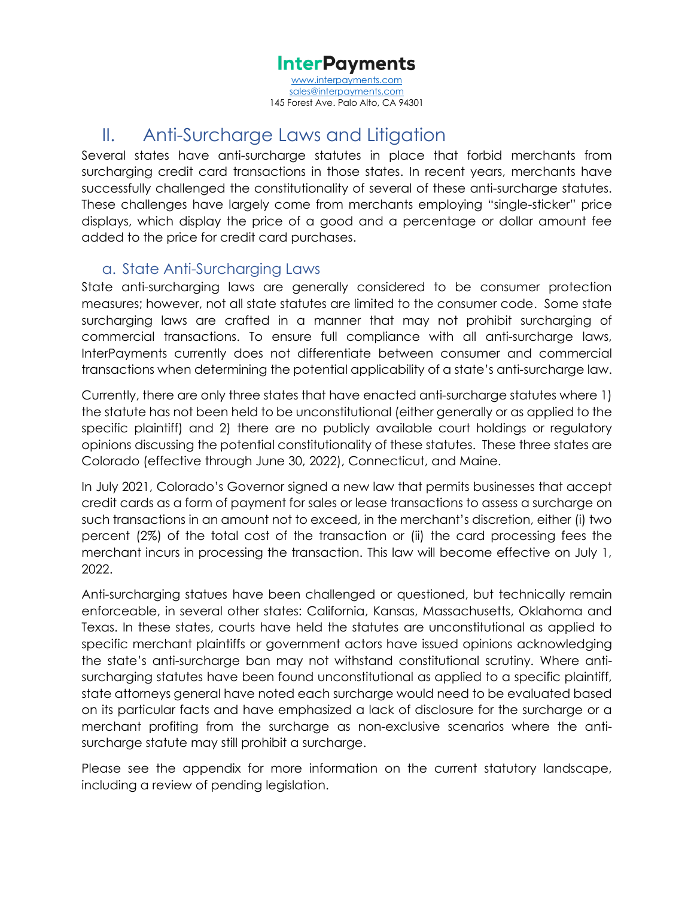www.interpayments [sales@interpayments.com](mailto:sales@interpayments.com) 145 Forest Ave. Palo Alto, CA 94301

## <span id="page-3-0"></span>II. Anti-Surcharge Laws and Litigation

Several states have anti-surcharge statutes in place that forbid merchants from surcharging credit card transactions in those states. In recent years, merchants have successfully challenged the constitutionality of several of these anti-surcharge statutes. These challenges have largely come from merchants employing "single-sticker" price displays, which display the price of a good and a percentage or dollar amount fee added to the price for credit card purchases.

### <span id="page-3-1"></span>a. State Anti-Surcharging Laws

State anti-surcharging laws are generally considered to be consumer protection measures; however, not all state statutes are limited to the consumer code. Some state surcharging laws are crafted in a manner that may not prohibit surcharging of commercial transactions. To ensure full compliance with all anti-surcharge laws, InterPayments currently does not differentiate between consumer and commercial transactions when determining the potential applicability of a state's anti-surcharge law.

Currently, there are only three states that have enacted anti-surcharge statutes where 1) the statute has not been held to be unconstitutional (either generally or as applied to the specific plaintiff) and 2) there are no publicly available court holdings or regulatory opinions discussing the potential constitutionality of these statutes. These three states are Colorado (effective through June 30, 2022), Connecticut, and Maine.

In July 2021, Colorado's Governor signed a new law that permits businesses that accept credit cards as a form of payment for sales or lease transactions to assess a surcharge on such transactions in an amount not to exceed, in the merchant's discretion, either (i) two percent (2%) of the total cost of the transaction or (ii) the card processing fees the merchant incurs in processing the transaction. This law will become effective on July 1, 2022.

Anti-surcharging statues have been challenged or questioned, but technically remain enforceable, in several other states: California, Kansas, Massachusetts, Oklahoma and Texas. In these states, courts have held the statutes are unconstitutional as applied to specific merchant plaintiffs or government actors have issued opinions acknowledging the state's anti-surcharge ban may not withstand constitutional scrutiny. Where antisurcharging statutes have been found unconstitutional as applied to a specific plaintiff, state attorneys general have noted each surcharge would need to be evaluated based on its particular facts and have emphasized a lack of disclosure for the surcharge or a merchant profiting from the surcharge as non-exclusive scenarios where the antisurcharge statute may still prohibit a surcharge.

Please see the appendix for more information on the current statutory landscape, including a review of pending legislation.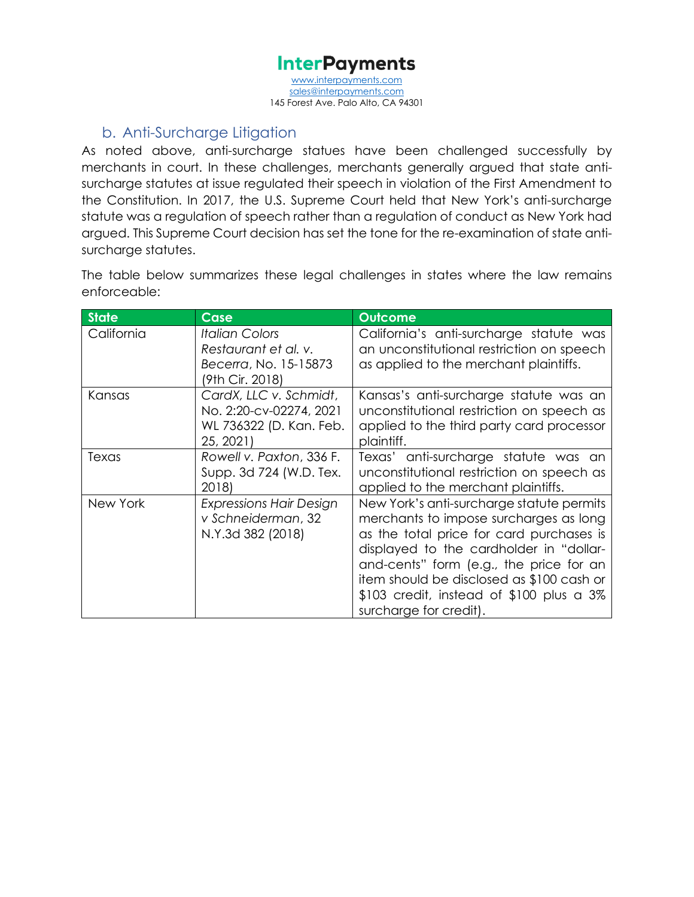[www.interpayments.com](http://www.interpayments.com/) [sales@interpayments.com](mailto:sales@interpayments.com) 145 Forest Ave. Palo Alto, CA 94301

### b. Anti-Surcharge Litigation

<span id="page-4-0"></span>As noted above, anti-surcharge statues have been challenged successfully by merchants in court. In these challenges, merchants generally argued that state antisurcharge statutes at issue regulated their speech in violation of the First Amendment to the Constitution. In 2017, the U.S. Supreme Court held that New York's anti-surcharge statute was a regulation of speech rather than a regulation of conduct as New York had argued. This Supreme Court decision has set the tone for the re-examination of state antisurcharge statutes.

The table below summarizes these legal challenges in states where the law remains enforceable:

| <b>State</b> | Case                                                                                      | <b>Outcome</b>                                                                                                                                                                                                                                                                                                                                |
|--------------|-------------------------------------------------------------------------------------------|-----------------------------------------------------------------------------------------------------------------------------------------------------------------------------------------------------------------------------------------------------------------------------------------------------------------------------------------------|
| California   | <b>Italian Colors</b><br>Restaurant et al. v.<br>Becerra, No. 15-15873<br>(9th Cir. 2018) | California's anti-surcharge statute was<br>an unconstitutional restriction on speech<br>as applied to the merchant plaintiffs.                                                                                                                                                                                                                |
| Kansas       | CardX, LLC v. Schmidt,<br>No. 2:20-cv-02274, 2021<br>WL 736322 (D. Kan. Feb.<br>25, 2021) | Kansas's anti-surcharge statute was an<br>unconstitutional restriction on speech as<br>applied to the third party card processor<br>plaintiff.                                                                                                                                                                                                |
| Texas        | Rowell v. Paxton, 336 F.<br>Supp. 3d 724 (W.D. Tex.<br>2018)                              | Texas' anti-surcharge statute was an<br>unconstitutional restriction on speech as<br>applied to the merchant plaintiffs.                                                                                                                                                                                                                      |
| New York     | <b>Expressions Hair Design</b><br>v Schneiderman, 32<br>N.Y.3d 382 (2018)                 | New York's anti-surcharge statute permits<br>merchants to impose surcharges as long<br>as the total price for card purchases is<br>displayed to the cardholder in "dollar-<br>and-cents" form (e.g., the price for an<br>item should be disclosed as \$100 cash or<br>$$103$ credit, instead of $$100$ plus a $3\%$<br>surcharge for credit). |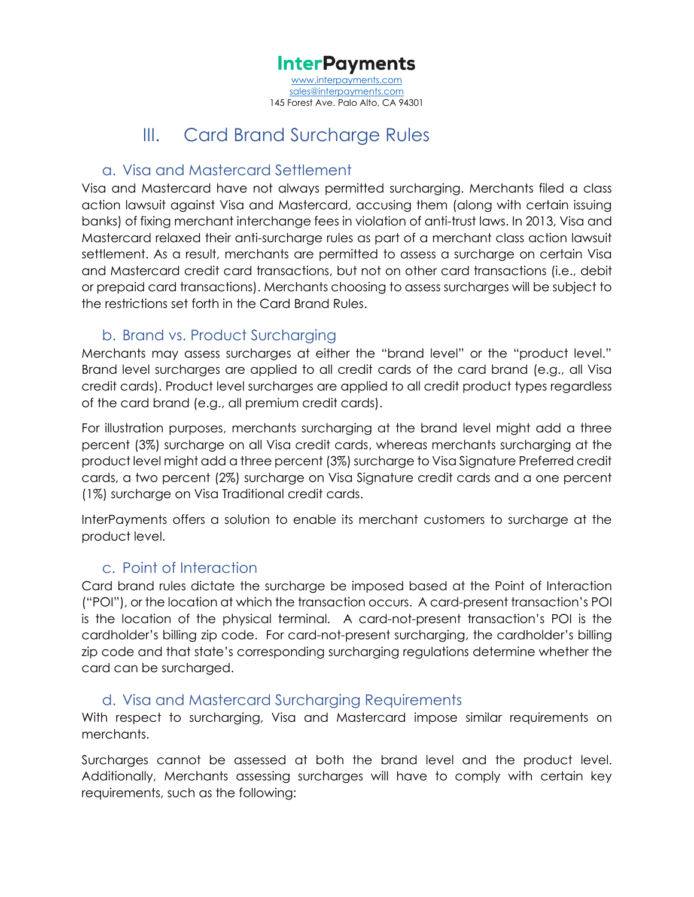[www.interpayments.com](http://www.interpayments.com/) [sales@interpayments.com](mailto:sales@interpayments.com) 145 Forest Ave. Palo Alto, CA 94301

## III. Card Brand Surcharge Rules

#### <span id="page-5-1"></span><span id="page-5-0"></span>a. Visa and Mastercard Settlement

Visa and Mastercard have not always permitted surcharging. Merchants filed a class action lawsuit against Visa and Mastercard, accusing them (along with certain issuing banks) of fixing merchant interchange fees in violation of anti-trust laws. In 2013, Visa and Mastercard relaxed their anti-surcharge rules as part of a merchant class action lawsuit settlement. As a result, merchants are permitted to assess a surcharge on certain Visa and Mastercard credit card transactions, but not on other card transactions (i.e., debit or prepaid card transactions). Merchants choosing to assess surcharges will be subject to the restrictions set forth in the Card Brand Rules.

### <span id="page-5-2"></span>b. Brand vs. Product Surcharging

Merchants may assess surcharges at either the "brand level" or the "product level." Brand level surcharges are applied to all credit cards of the card brand (e.g., all Visa credit cards). Product level surcharges are applied to all credit product types regardless of the card brand (e.g., all premium credit cards).

For illustration purposes, merchants surcharging at the brand level might add a three percent (3%) surcharge on all Visa credit cards, whereas merchants surcharging at the product level might add a three percent (3%) surcharge to Visa Signature Preferred credit cards, a two percent (2%) surcharge on Visa Signature credit cards and a one percent (1%) surcharge on Visa Traditional credit cards.

InterPayments offers a solution to enable its merchant customers to surcharge at the product level.

### c. Point of Interaction

Card brand rules dictate the surcharge be imposed based at the Point of Interaction ("POI"), or the location at which the transaction occurs. A card-present transaction's POI is the location of the physical terminal. A card-not-present transaction's POI is the cardholder's billing zip code. For card-not-present surcharging, the cardholder's billing zip code and that state's corresponding surcharging regulations determine whether the card can be surcharged.

### <span id="page-5-3"></span>d. Visa and Mastercard Surcharging Requirements

With respect to surcharging, Visa and Mastercard impose similar requirements on merchants.

Surcharges cannot be assessed at both the brand level and the product level. Additionally, Merchants assessing surcharges will have to comply with certain key requirements, such as the following: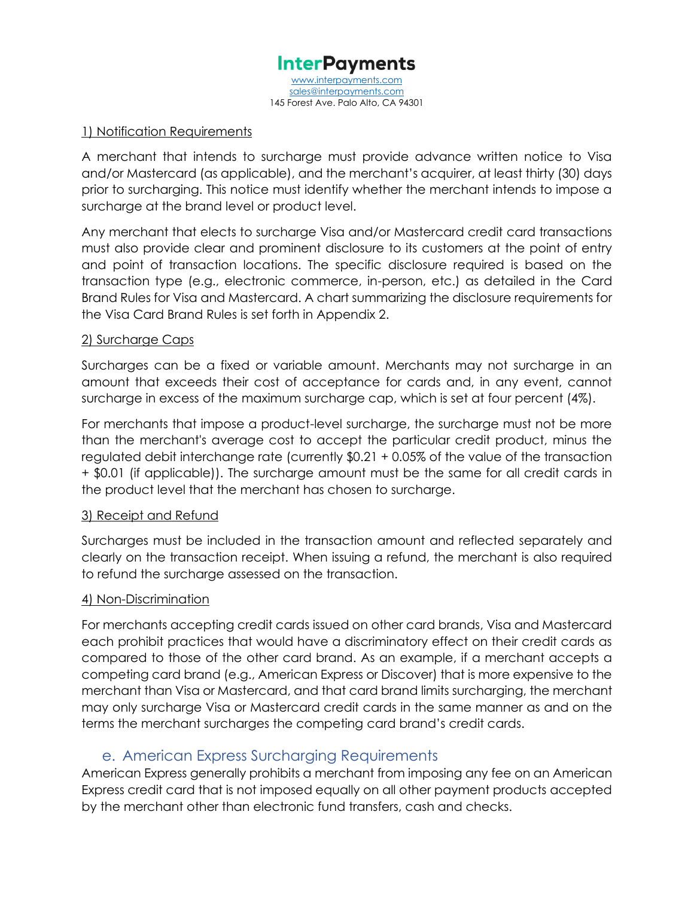

#### 1) Notification Requirements

A merchant that intends to surcharge must provide advance written notice to Visa and/or Mastercard (as applicable), and the merchant's acquirer, at least thirty (30) days prior to surcharging. This notice must identify whether the merchant intends to impose a surcharge at the brand level or product level.

Any merchant that elects to surcharge Visa and/or Mastercard credit card transactions must also provide clear and prominent disclosure to its customers at the point of entry and point of transaction locations. The specific disclosure required is based on the transaction type (e.g., electronic commerce, in-person, etc.) as detailed in the Card Brand Rules for Visa and Mastercard. A chart summarizing the disclosure requirements for the Visa Card Brand Rules is set forth in Appendix 2.

#### 2) Surcharge Caps

Surcharges can be a fixed or variable amount. Merchants may not surcharge in an amount that exceeds their cost of acceptance for cards and, in any event, cannot surcharge in excess of the maximum surcharge cap, which is set at four percent (4%).

For merchants that impose a product-level surcharge, the surcharge must not be more than the merchant's average cost to accept the particular credit product, minus the regulated debit interchange rate (currently \$0.21 + 0.05% of the value of the transaction + \$0.01 (if applicable)). The surcharge amount must be the same for all credit cards in the product level that the merchant has chosen to surcharge.

#### 3) Receipt and Refund

Surcharges must be included in the transaction amount and reflected separately and clearly on the transaction receipt. When issuing a refund, the merchant is also required to refund the surcharge assessed on the transaction.

#### 4) Non-Discrimination

For merchants accepting credit cards issued on other card brands, Visa and Mastercard each prohibit practices that would have a discriminatory effect on their credit cards as compared to those of the other card brand. As an example, if a merchant accepts a competing card brand (e.g., American Express or Discover) that is more expensive to the merchant than Visa or Mastercard, and that card brand limits surcharging, the merchant may only surcharge Visa or Mastercard credit cards in the same manner as and on the terms the merchant surcharges the competing card brand's credit cards.

### e. American Express Surcharging Requirements

<span id="page-6-0"></span>American Express generally prohibits a merchant from imposing any fee on an American Express credit card that is not imposed equally on all other payment products accepted by the merchant other than electronic fund transfers, cash and checks.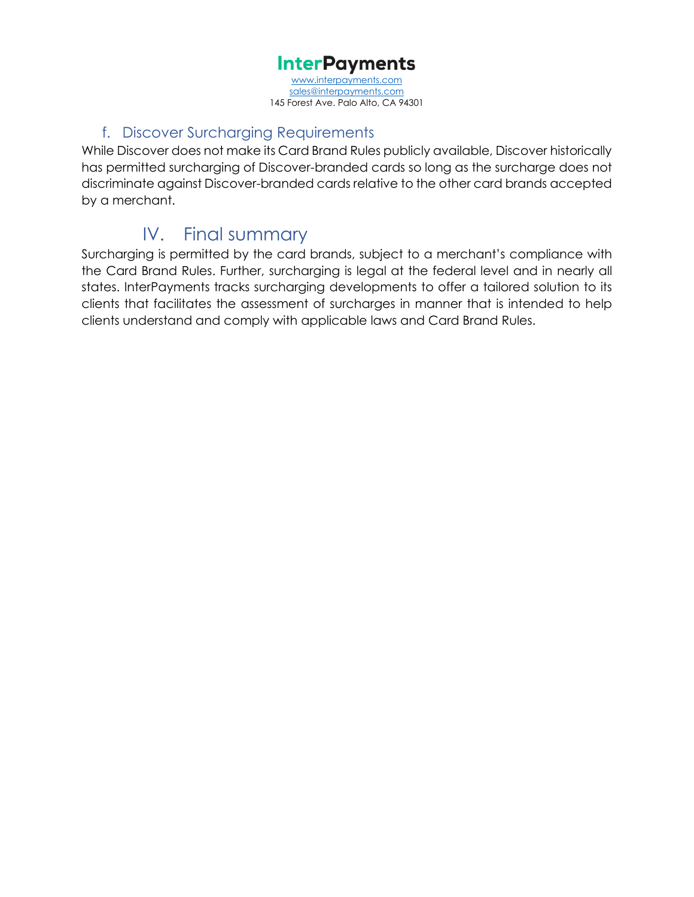[www.interpayments.com](http://www.interpayments.com/) [sales@interpayments.com](mailto:sales@interpayments.com) 145 Forest Ave. Palo Alto, CA 94301

### f. Discover Surcharging Requirements

While Discover does not make its Card Brand Rules publicly available, Discover historically has permitted surcharging of Discover-branded cards so long as the surcharge does not discriminate against Discover-branded cards relative to the other card brands accepted by a merchant.

## IV. Final summary

<span id="page-7-0"></span>Surcharging is permitted by the card brands, subject to a merchant's compliance with the Card Brand Rules. Further, surcharging is legal at the federal level and in nearly all states. InterPayments tracks surcharging developments to offer a tailored solution to its clients that facilitates the assessment of surcharges in manner that is intended to help clients understand and comply with applicable laws and Card Brand Rules.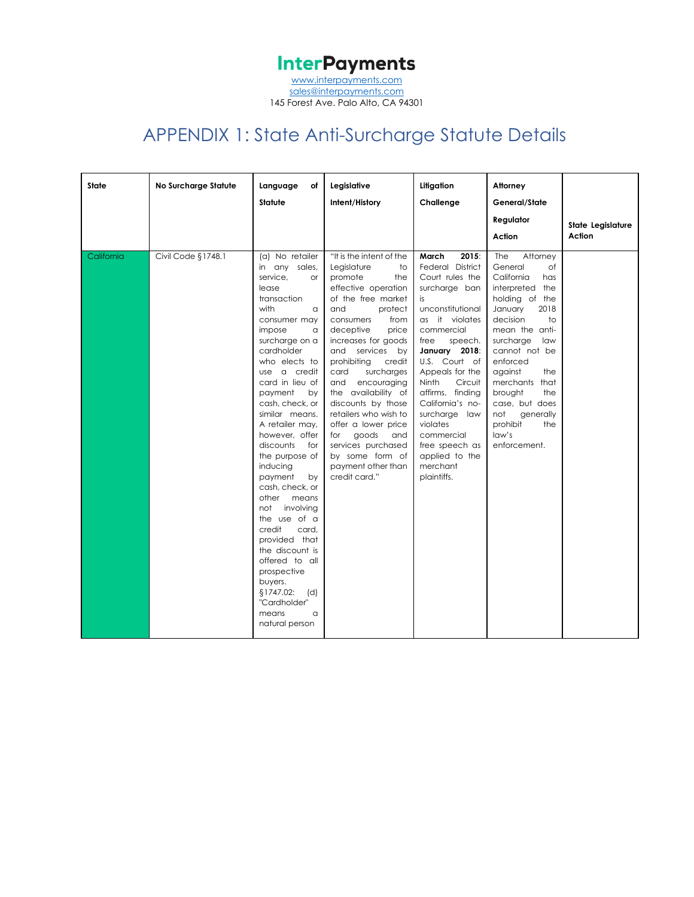[sales@interpayments.com](mailto:sales@interpayments.com) 145 Forest Ave. Palo Alto, CA 94301

## APPENDIX 1: State Anti-Surcharge Statute Details

<span id="page-8-0"></span>

| <b>State</b> | No Surcharge Statute | Language<br>оf<br>Statute                                                                                                                                                                                                                                                                                                                                                                                                                                                                                                                                                                                                              | Legislative<br>Intent/History                                                                                                                                                                                                                                                                                                                                                                                                                                                                   | Litigation<br>Challenge                                                                                                                                                                                                                                                                                                                                                               | Attorney<br>General/State<br>Regulator<br>Action                                                                                                                                                                                                                                                                                                  | State Legislature<br>Action |
|--------------|----------------------|----------------------------------------------------------------------------------------------------------------------------------------------------------------------------------------------------------------------------------------------------------------------------------------------------------------------------------------------------------------------------------------------------------------------------------------------------------------------------------------------------------------------------------------------------------------------------------------------------------------------------------------|-------------------------------------------------------------------------------------------------------------------------------------------------------------------------------------------------------------------------------------------------------------------------------------------------------------------------------------------------------------------------------------------------------------------------------------------------------------------------------------------------|---------------------------------------------------------------------------------------------------------------------------------------------------------------------------------------------------------------------------------------------------------------------------------------------------------------------------------------------------------------------------------------|---------------------------------------------------------------------------------------------------------------------------------------------------------------------------------------------------------------------------------------------------------------------------------------------------------------------------------------------------|-----------------------------|
| California   | Civil Code §1748.1   | (a) No retailer<br>in any sales,<br>service.<br><b>or</b><br>lease<br>transaction<br>with<br>$\alpha$<br>consumer may<br>impose<br>a<br>surcharge on a<br>cardholder<br>who elects to<br>use a credit<br>card in lieu of<br>payment<br>by<br>cash, check, or<br>similar means.<br>A retailer may,<br>however, offer<br>discounts<br>for<br>the purpose of<br>inducing<br>payment<br>by<br>cash, check, or<br>other<br>means<br>not<br>involving<br>the use of a<br>credit<br>card,<br>provided that<br>the discount is<br>offered to all<br>prospective<br>buyers.<br>§1747.02:<br>(d)<br>"Cardholder"<br>means<br>a<br>natural person | "It is the intent of the<br>Legislature<br>to<br>promote<br>the<br>effective operation<br>of the free market<br>and<br>protect<br>consumers<br>from<br>deceptive<br>price<br>increases for goods<br>and services<br>by<br>prohibiting<br>credit<br>card<br>surcharges<br>and<br>encouraging<br>the availability of<br>discounts by those<br>retailers who wish to<br>offer a lower price<br>goods<br>for<br>and<br>services purchased<br>by some form of<br>payment other than<br>credit card." | 2015:<br>March<br>Federal District<br>Court rules the<br>surcharge ban<br>is<br>unconstitutional<br>as it violates<br>commercial<br>speech.<br>free<br>January 2018:<br>U.S. Court of<br>Appeals for the<br><b>Ninth</b><br>Circuit<br>affirms, finding<br>California's no-<br>surcharge law<br>violates<br>commercial<br>free speech as<br>applied to the<br>merchant<br>plaintiffs. | Attorney<br><b>The</b><br>General<br>Οf<br>California<br>has<br>interpreted the<br>holding of the<br>2018<br>January<br>decision<br>to<br>mean the anti-<br>surcharge<br>law<br>cannot not be<br>enforced<br>against<br>the<br>merchants that<br>brought<br>the<br>case, but does<br>not<br>generally<br>the<br>prohibit<br>law's<br>enforcement. |                             |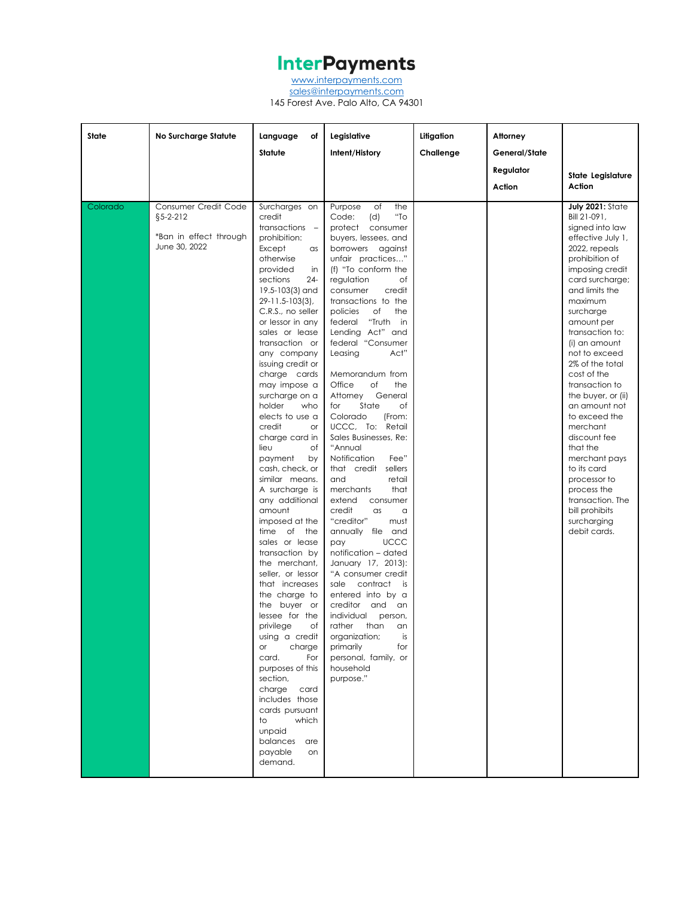[www.interpayments.com](http://www.interpayments.com/)

[sales@interpayments.com](mailto:sales@interpayments.com) 145 Forest Ave. Palo Alto, CA 94301

| State    | <b>No Surcharge Statute</b>                                                       | Language<br>оf<br>Statute                                                                                                                                                                                                                                                                                                                                                                                                                                                                                                                                                                                                                                                                                                                                                                                                                                                                                                                          | Legislative<br>Intent/History                                                                                                                                                                                                                                                                                                                                                                                                                                                                                                                                                                                                                                                                                                                                                                                                                                                                                                                                                                                  | Litigation<br>Challenge | Attorney<br>General/State<br>Regulator<br>Action | State Legislature<br>Action                                                                                                                                                                                                                                                                                                                                                                                                                                                                                                                            |
|----------|-----------------------------------------------------------------------------------|----------------------------------------------------------------------------------------------------------------------------------------------------------------------------------------------------------------------------------------------------------------------------------------------------------------------------------------------------------------------------------------------------------------------------------------------------------------------------------------------------------------------------------------------------------------------------------------------------------------------------------------------------------------------------------------------------------------------------------------------------------------------------------------------------------------------------------------------------------------------------------------------------------------------------------------------------|----------------------------------------------------------------------------------------------------------------------------------------------------------------------------------------------------------------------------------------------------------------------------------------------------------------------------------------------------------------------------------------------------------------------------------------------------------------------------------------------------------------------------------------------------------------------------------------------------------------------------------------------------------------------------------------------------------------------------------------------------------------------------------------------------------------------------------------------------------------------------------------------------------------------------------------------------------------------------------------------------------------|-------------------------|--------------------------------------------------|--------------------------------------------------------------------------------------------------------------------------------------------------------------------------------------------------------------------------------------------------------------------------------------------------------------------------------------------------------------------------------------------------------------------------------------------------------------------------------------------------------------------------------------------------------|
| Colorado | Consumer Credit Code<br>$§5 - 2 - 212$<br>*Ban in effect through<br>June 30, 2022 | Surcharges on<br>credit<br>transactions -<br>prohibition:<br>Except<br>as<br>otherwise<br>provided<br>in<br>sections<br>24-<br>19.5-103(3) and<br>29-11.5-103(3),<br>C.R.S., no seller<br>or lessor in any<br>sales or lease<br>transaction or<br>any company<br>issuing credit or<br>charge cards<br>may impose a<br>surcharge on a<br>holder<br>who<br>elects to use a<br>credit<br>or<br>charge card in<br>lieu<br>оf<br>payment<br>by<br>cash, check, or<br>similar means.<br>A surcharge is<br>any additional<br>amount<br>imposed at the<br>time of<br>the<br>sales or lease<br>transaction by<br>the merchant,<br>seller, or lessor<br>that increases<br>the charge to<br>the buyer or<br>lessee for the<br>privilege<br>оf<br>using a credit<br>charge<br>or<br>card.<br>For<br>purposes of this<br>section,<br>charge<br>card<br>includes those<br>cards pursuant<br>which<br>to<br>unpaid<br>balances<br>are<br>payable<br>on<br>demand. | of<br>the<br>Purpose<br>"To<br>Code:<br>(d)<br>protect consumer<br>buyers, lessees, and<br>borrowers against<br>unfair practices"<br>(f) "To conform the<br>regulation<br>оf<br>consumer<br>credit<br>transactions to the<br>of<br>policies<br>the<br>"Truth in<br>federal<br>Lending Act" and<br>federal "Consumer<br>Leasing<br>Act"<br>Memorandum from<br>Office<br>of<br>the<br>General<br>Attorney<br>State<br>оf<br>for<br>Colorado<br>(From:<br>UCCC, To: Retail<br>Sales Businesses, Re:<br>"Annual<br>Notification<br>Fee"<br>that credit sellers<br>and<br>retail<br>that<br>merchants<br>extend<br>consumer<br>credit<br>$\alpha$ s<br>a<br>"creditor"<br>must<br>annually file and<br><b>UCCC</b><br>pay<br>notification - dated<br>January 17, 2013):<br>"A consumer credit<br>sale<br>contract<br>is<br>entered into by a<br>creditor<br>and<br>an<br>individual<br>person,<br>rather<br>than<br>an<br>organization;<br>is<br>primarily<br>for<br>personal, family, or<br>household<br>purpose." |                         |                                                  | July 2021: State<br>Bill 21-091,<br>signed into law<br>effective July 1,<br>2022, repeals<br>prohibition of<br>imposing credit<br>card surcharge;<br>and limits the<br>maximum<br>surcharge<br>amount per<br>transaction to:<br>(i) an amount<br>not to exceed<br>2% of the total<br>cost of the<br>transaction to<br>the buyer, or (ii)<br>an amount not<br>to exceed the<br>merchant<br>discount fee<br>that the<br>merchant pays<br>to its card<br>processor to<br>process the<br>transaction. The<br>bill prohibits<br>surcharging<br>debit cards. |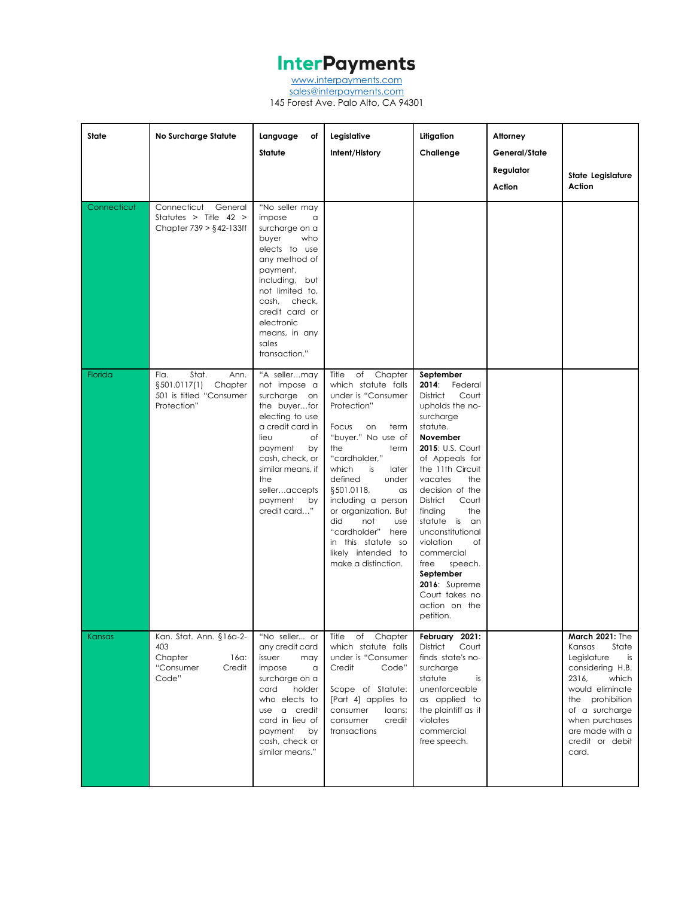[www.interpayments.com](http://www.interpayments.com/) [sales@interpayments.com](mailto:sales@interpayments.com) 145 Forest Ave. Palo Alto, CA 94301

**State No Surcharge Statute Language of Statute Legislative Intent/History Litigation Challenge Attorney General/State Regulator Action State Legislature Action** Connecticut Connecticut General Statutes > Title 42 > Chapter 739 > §42-133ff "No seller may impose a surcharge on a buyer who elects to use any method of payment, including, but not limited to, cash, check, credit card or electronic means, in any sales transaction." Florida **Fla.** Stat. Ann. §501.0117(1) Chapter 501 is titled "Consumer Protection" "A seller…may not impose a surcharge on the buyer…for electing to use a credit card in lieu of payment by cash, check, or similar means, if the seller…accepts payment by credit card…" Title of Chapter which statute falls under is "Consumer Protection" Focus on term "buyer." No use of the term "cardholder," which is later defined under §501.0118, as including a person or organization. But did not use "cardholder" here in this statute so likely intended to make a distinction. **September 2014**: Federal District Court upholds the nosurcharge statute. **November 2015**: U.S. Court of Appeals for the 11th Circuit vacates the decision of the District Court finding the statute is an unconstitutional violation of commercial free speech. **September 2016**: Supreme Court takes no action on the petition. Kansas Kan. Stat. Ann. §16a-2-403 Chapter 16a: "Consumer Credit Code" "No seller... or any credit card issuer may impose a surcharge on a card holder who elects to use a credit card in lieu of payment by cash, check or similar means." Title of Chapter which statute falls under is "Consumer Credit Code" Scope of Statute: [Part 4] applies to consumer loans; consumer credit transactions **February 2021:** District Court finds state's nosurcharge statute is unenforceable as applied to the plaintiff as it violates commercial free speech. **March 2021:** The Kansas State Legislature is considering H.B. 2316, which would eliminate the prohibition of a surcharge when purchases are made with a credit or debit card.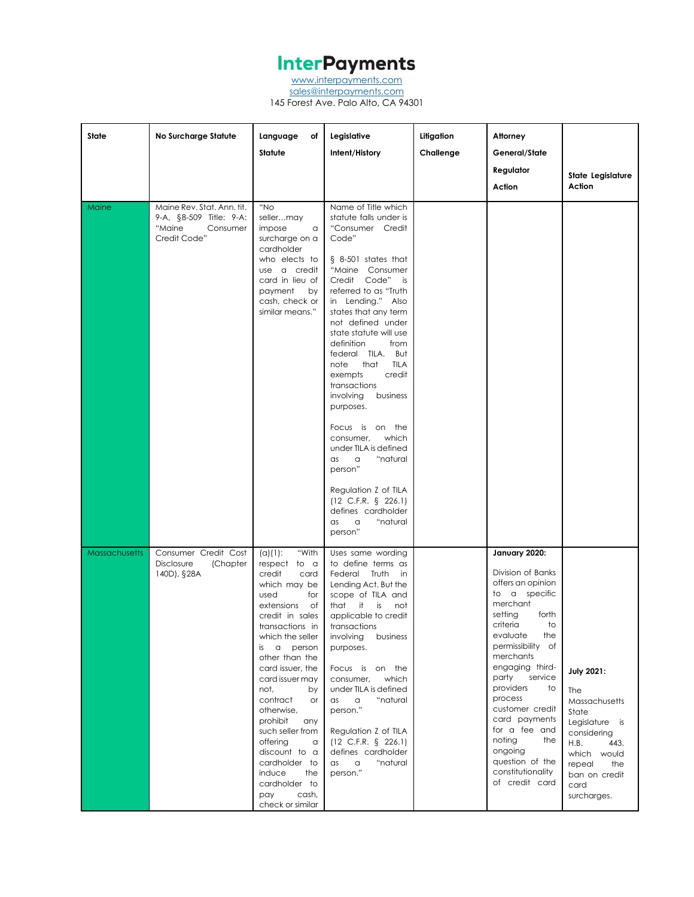[www.interpayments.com](http://www.interpayments.com/) [sales@interpayments.com](mailto:sales@interpayments.com)

145 Forest Ave. Palo Alto, CA 94301

| State                | No Surcharge Statute                                                                        | Language<br>оf<br>Statute                                                                                                                                                                                                                                                                                                                                                                                                                                             | Legislative<br>Intent/History                                                                                                                                                                                                                                                                                                                                                                                                                                                                                                                                                                                                                        | Litigation<br>Challenge | Attorney<br>General/State<br>Regulator<br>Action                                                                                                                                                                                                                                                                                                                                                | State Legislature<br>Action                                                                                                                                                               |
|----------------------|---------------------------------------------------------------------------------------------|-----------------------------------------------------------------------------------------------------------------------------------------------------------------------------------------------------------------------------------------------------------------------------------------------------------------------------------------------------------------------------------------------------------------------------------------------------------------------|------------------------------------------------------------------------------------------------------------------------------------------------------------------------------------------------------------------------------------------------------------------------------------------------------------------------------------------------------------------------------------------------------------------------------------------------------------------------------------------------------------------------------------------------------------------------------------------------------------------------------------------------------|-------------------------|-------------------------------------------------------------------------------------------------------------------------------------------------------------------------------------------------------------------------------------------------------------------------------------------------------------------------------------------------------------------------------------------------|-------------------------------------------------------------------------------------------------------------------------------------------------------------------------------------------|
| Maine                | Maine Rev. Stat. Ann. tit.<br>9-A, §8-509 Title: 9-A:<br>"Maine<br>Consumer<br>Credit Code" | "No<br>sellermay<br>impose<br>a<br>surcharge on a<br>cardholder<br>who elects to<br>use a credit<br>card in lieu of<br>payment<br>by<br>cash, check or<br>similar means."                                                                                                                                                                                                                                                                                             | Name of Title which<br>statute falls under is<br>"Consumer Credit<br>Code"<br>$§ 8-501$ states that<br>"Maine Consumer<br>Credit Code"<br>is<br>referred to as "Truth<br>in Lending." Also<br>states that any term<br>not defined under<br>state statute will use<br>definition<br>from<br>federal TILA. But<br>that<br><b>TILA</b><br>note<br>credit<br>exempts<br>transactions<br>involving<br>business<br>purposes.<br>Focus is on the<br>which<br>consumer,<br>under TILA is defined<br>"natural<br>a<br>as<br>person"<br>Regulation Z of TILA<br>$(12 \text{ C.F.R. } \S$ 226.1)<br>defines cardholder<br>"natural<br>$\alpha$<br>as<br>person" |                         |                                                                                                                                                                                                                                                                                                                                                                                                 |                                                                                                                                                                                           |
| <b>Massachusetts</b> | Consumer Credit Cost<br>Disclosure<br>(Chapter<br>140D), §28A                               | "With<br>$(a)(1)$ :<br>respect to a<br>credit<br>card<br>which may be<br>used<br>for<br>extensions<br>of<br>credit in sales<br>transactions in<br>which the seller<br>$\alpha$<br>person<br>is<br>other than the<br>card issuer, the<br>card issuer may<br>not,<br>by<br>contract<br>or<br>otherwise,<br>prohibit<br>any<br>such seller from<br>offering<br>a<br>discount to a<br>cardholder to<br>induce<br>the<br>cardholder to<br>pay<br>cash,<br>check or similar | Uses same wording<br>to define terms as<br>Federal Truth<br>in<br>Lending Act. But the<br>scope of TILA and<br>it<br>that<br>is<br>not<br>applicable to credit<br>transactions<br>involving<br>business<br>purposes.<br>Focus is on the<br>which<br>consumer,<br>under TILA is defined<br>"natural<br>$\hbox{\tt\alpha}$<br>$\alpha$ s<br>person."<br>Regulation Z of TILA<br>(12 C.F.R. § 226.1)<br>defines cardholder<br>"natural<br>as<br>a<br>person."                                                                                                                                                                                           |                         | January 2020:<br>Division of Banks<br>offers an opinion<br>to a specific<br>merchant<br>setting<br>forth<br>criteria<br>to<br>evaluate<br>the<br>permissibility of<br>merchants<br>engaging third-<br>service<br>party<br>providers<br>to<br>process<br>customer credit<br>card payments<br>for a fee and<br>noting<br>the<br>ongoing<br>question of the<br>constitutionality<br>of credit card | <b>July 2021:</b><br><b>The</b><br><b>Massachusetts</b><br>State<br>Legislature is<br>considering<br>H.B.<br>443,<br>which would<br>repeal<br>the<br>ban on credit<br>card<br>surcharges. |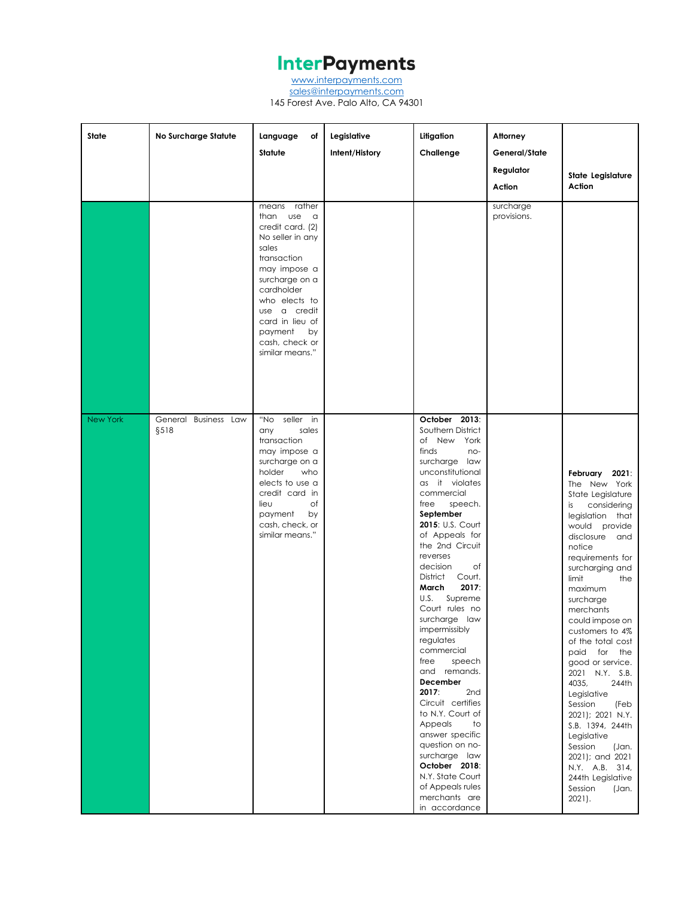[www.interpayments.com](http://www.interpayments.com/) [sales@interpayments.com](mailto:sales@interpayments.com) 145 Forest Ave. Palo Alto, CA 94301

| State           | No Surcharge Statute         | Language<br>of                                                                                                                                                                                                                                                 | Legislative    | Litigation                                                                                                                                                                                                                                                                                                                                                                                                                                                                                                                                                                                                                                                                     | Attorney                 |                                                                                                                                                                                                                                                                                                                                                                                                                                                                                                                                                                                 |
|-----------------|------------------------------|----------------------------------------------------------------------------------------------------------------------------------------------------------------------------------------------------------------------------------------------------------------|----------------|--------------------------------------------------------------------------------------------------------------------------------------------------------------------------------------------------------------------------------------------------------------------------------------------------------------------------------------------------------------------------------------------------------------------------------------------------------------------------------------------------------------------------------------------------------------------------------------------------------------------------------------------------------------------------------|--------------------------|---------------------------------------------------------------------------------------------------------------------------------------------------------------------------------------------------------------------------------------------------------------------------------------------------------------------------------------------------------------------------------------------------------------------------------------------------------------------------------------------------------------------------------------------------------------------------------|
|                 |                              | <b>Statute</b>                                                                                                                                                                                                                                                 | Intent/History | Challenge                                                                                                                                                                                                                                                                                                                                                                                                                                                                                                                                                                                                                                                                      | General/State            |                                                                                                                                                                                                                                                                                                                                                                                                                                                                                                                                                                                 |
|                 |                              |                                                                                                                                                                                                                                                                |                |                                                                                                                                                                                                                                                                                                                                                                                                                                                                                                                                                                                                                                                                                | Regulator                |                                                                                                                                                                                                                                                                                                                                                                                                                                                                                                                                                                                 |
|                 |                              |                                                                                                                                                                                                                                                                |                |                                                                                                                                                                                                                                                                                                                                                                                                                                                                                                                                                                                                                                                                                | Action                   | State Legislature<br>Action                                                                                                                                                                                                                                                                                                                                                                                                                                                                                                                                                     |
|                 |                              | means rather<br>than use<br>$\alpha$<br>credit card. (2)<br>No seller in any<br>sales<br>transaction<br>may impose a<br>surcharge on a<br>cardholder<br>who elects to<br>use a credit<br>card in lieu of<br>payment<br>by<br>cash, check or<br>similar means." |                |                                                                                                                                                                                                                                                                                                                                                                                                                                                                                                                                                                                                                                                                                | surcharge<br>provisions. |                                                                                                                                                                                                                                                                                                                                                                                                                                                                                                                                                                                 |
| <b>New York</b> | General Business Law<br>§518 | "No seller in<br>sales<br>any<br>transaction<br>may impose a<br>surcharge on a<br>holder<br>who<br>elects to use a<br>credit card in<br>lieu<br>оf<br>payment<br>by<br>cash, check, or<br>similar means."                                                      |                | October 2013:<br>Southern District<br>of New York<br>finds<br>no-<br>surcharge law<br>unconstitutional<br>as it violates<br>commercial<br>speech.<br>free<br>September<br>2015: U.S. Court<br>of Appeals for<br>the 2nd Circuit<br>reverses<br>decision<br>Оf<br>District<br>Court.<br>2017:<br>March<br>U.S. Supreme<br>Court rules no<br>surcharge law<br>impermissibly<br>regulates<br>commercial<br>free<br>speech<br>and remands.<br>December<br>2017:<br>2nd<br>Circuit certifies<br>to N.Y. Court of<br>Appeals<br>to<br>answer specific<br>question on no-<br>surcharge law<br>October 2018:<br>N.Y. State Court<br>of Appeals rules<br>merchants are<br>in accordance |                          | February 2021:<br>The New York<br>State Legislature<br>considering<br>is<br>legislation that<br>would provide<br>disclosure and<br>notice<br>requirements for<br>surcharging and<br>limit<br>the<br>maximum<br>surcharge<br>merchants<br>could impose on<br>customers to 4%<br>of the total cost<br>paid for the<br>good or service.<br>2021 N.Y. S.B.<br>4035,<br>244th<br>Legislative<br>Session<br>(Feb<br>2021); 2021 N.Y.<br>S.B. 1394, 244th<br>Legislative<br>Session<br>(Jan.<br>2021); and 2021<br>N.Y. A.B. 314,<br>244th Legislative<br>Session<br>(Jan.<br>$2021$ . |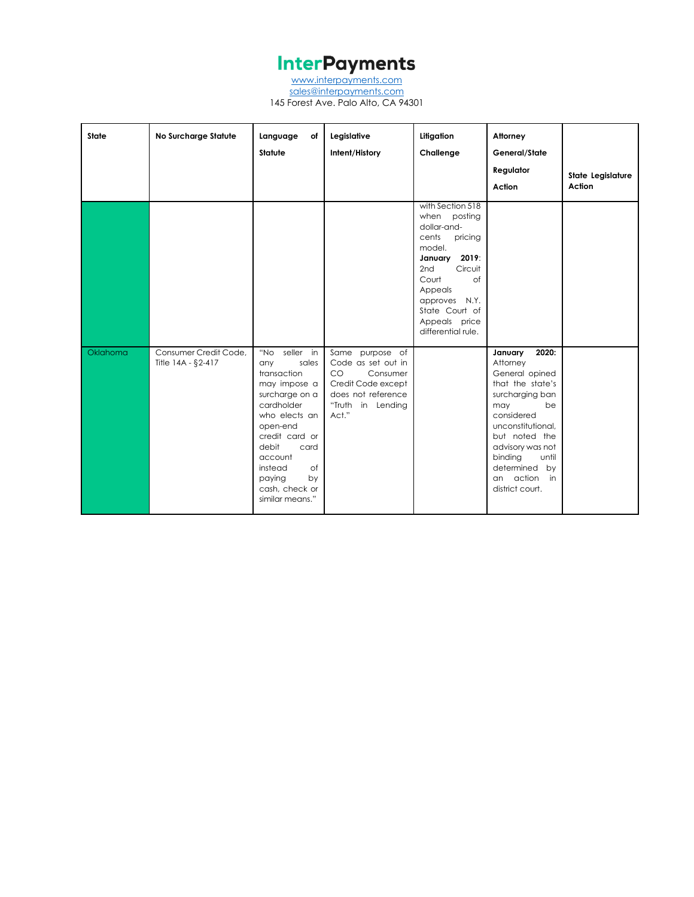[www.interpayments.com](http://www.interpayments.com/) [sales@interpayments.com](mailto:sales@interpayments.com) 145 Forest Ave. Palo Alto, CA 94301

| <b>State</b> | No Surcharge Statute                        | Language<br>of<br><b>Statute</b>                                                                                                                                                                                                                 | Legislative<br>Intent/History                                                                                                     | Litigation<br>Challenge                                                                                                                                                                                                 | Attorney<br>General/State<br>Regulator<br>Action                                                                                                                                                                                                         | State Legislature<br>Action |
|--------------|---------------------------------------------|--------------------------------------------------------------------------------------------------------------------------------------------------------------------------------------------------------------------------------------------------|-----------------------------------------------------------------------------------------------------------------------------------|-------------------------------------------------------------------------------------------------------------------------------------------------------------------------------------------------------------------------|----------------------------------------------------------------------------------------------------------------------------------------------------------------------------------------------------------------------------------------------------------|-----------------------------|
|              |                                             |                                                                                                                                                                                                                                                  |                                                                                                                                   | with Section 518<br>when posting<br>dollar-and-<br>cents<br>pricing<br>model.<br>2019:<br>January<br>2nd<br>Circuit<br>of<br>Court<br>Appeals<br>approves N.Y.<br>State Court of<br>Appeals price<br>differential rule. |                                                                                                                                                                                                                                                          |                             |
| Oklahoma     | Consumer Credit Code.<br>Title 14A - §2-417 | seller in<br>"No<br>sales<br>any<br>transaction<br>may impose a<br>surcharge on a<br>cardholder<br>who elects an<br>open-end<br>credit card or<br>debit<br>card<br>account<br>instead<br>of<br>paying<br>by<br>cash, check or<br>similar means." | Same purpose of<br>Code as set out in<br>CO<br>Consumer<br>Credit Code except<br>does not reference<br>"Truth in Lending<br>Act." |                                                                                                                                                                                                                         | 2020:<br>January<br>Attorney<br>General opined<br>that the state's<br>surcharging ban<br>be<br>may<br>considered<br>unconstitutional.<br>but noted the<br>advisory was not<br>binding<br>until<br>determined by<br>action<br>in<br>an<br>district court. |                             |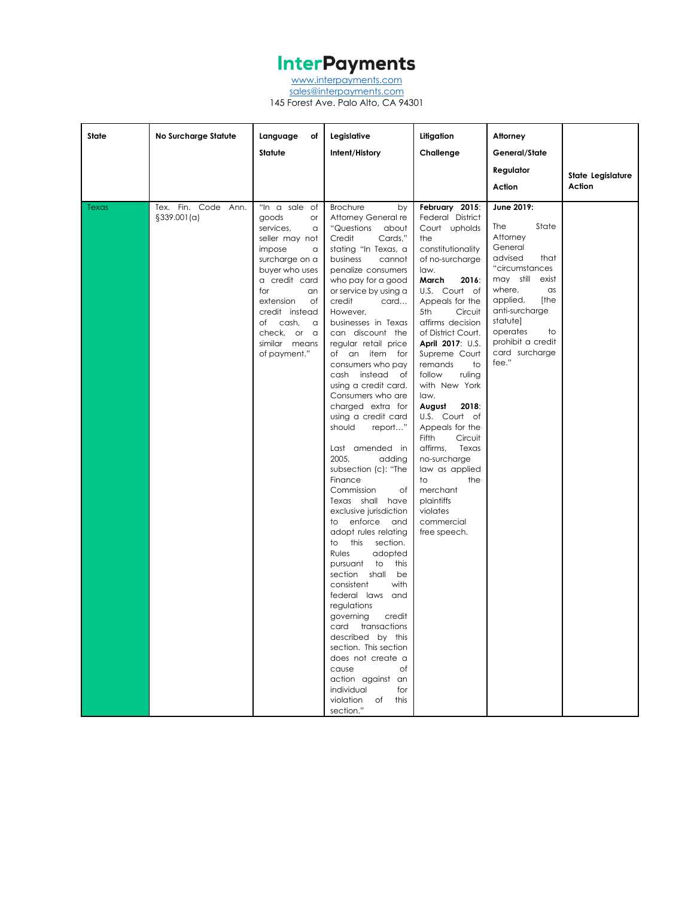[www.interpayments.com](http://www.interpayments.com/)

[sales@interpayments.com](mailto:sales@interpayments.com) 145 Forest Ave. Palo Alto, CA 94301

| State | <b>No Surcharge Statute</b>           | Language<br>оf<br>Statute                                                                                                                                                                                                                                  | Legislative<br>Intent/History                                                                                                                                                                                                                                                                                                                                                                                                                                                                                                                                                                                                                                                                                                                                                                                                                                                                                                                                                                                                                               | Litigation<br>Challenge                                                                                                                                                                                                                                                                                                                                                                                                                                                                                                                            | Attorney<br>General/State                                                                                                                                                                                                                                |                             |
|-------|---------------------------------------|------------------------------------------------------------------------------------------------------------------------------------------------------------------------------------------------------------------------------------------------------------|-------------------------------------------------------------------------------------------------------------------------------------------------------------------------------------------------------------------------------------------------------------------------------------------------------------------------------------------------------------------------------------------------------------------------------------------------------------------------------------------------------------------------------------------------------------------------------------------------------------------------------------------------------------------------------------------------------------------------------------------------------------------------------------------------------------------------------------------------------------------------------------------------------------------------------------------------------------------------------------------------------------------------------------------------------------|----------------------------------------------------------------------------------------------------------------------------------------------------------------------------------------------------------------------------------------------------------------------------------------------------------------------------------------------------------------------------------------------------------------------------------------------------------------------------------------------------------------------------------------------------|----------------------------------------------------------------------------------------------------------------------------------------------------------------------------------------------------------------------------------------------------------|-----------------------------|
|       |                                       |                                                                                                                                                                                                                                                            |                                                                                                                                                                                                                                                                                                                                                                                                                                                                                                                                                                                                                                                                                                                                                                                                                                                                                                                                                                                                                                                             |                                                                                                                                                                                                                                                                                                                                                                                                                                                                                                                                                    | Regulator<br>Action                                                                                                                                                                                                                                      | State Legislature<br>Action |
|       |                                       |                                                                                                                                                                                                                                                            |                                                                                                                                                                                                                                                                                                                                                                                                                                                                                                                                                                                                                                                                                                                                                                                                                                                                                                                                                                                                                                                             |                                                                                                                                                                                                                                                                                                                                                                                                                                                                                                                                                    |                                                                                                                                                                                                                                                          |                             |
| Texas | Tex. Fin. Code Ann.<br>$§339.001$ (a) | "In a sale<br>of<br>goods<br>or<br>services,<br>a<br>seller may not<br>impose<br>a<br>surcharge on a<br>buyer who uses<br>a credit card<br>for<br>an<br>extension<br>Оf<br>credit instead<br>of cash,<br>a<br>check, or a<br>similar means<br>of payment." | <b>Brochure</b><br>by<br>Attorney General re<br>"Questions"<br>about<br>Credit<br>Cards,"<br>stating "In Texas, a<br>business<br>cannot<br>penalize consumers<br>who pay for a good<br>or service by using a<br>credit<br>card<br>However,<br>businesses in Texas<br>can discount the<br>regular retail price<br>of an item for<br>consumers who pay<br>cash instead<br>of<br>using a credit card.<br>Consumers who are<br>charged extra for<br>using a credit card<br>report"<br>should<br>Last amended in<br>2005,<br>adding<br>subsection (c): "The<br>Finance<br>Commission<br>оf<br>Texas shall have<br>exclusive jurisdiction<br>to enforce<br>and<br>adopt rules relating<br>this<br>to<br>section.<br>adopted<br>Rules<br>to<br>pursuant<br>this<br>shall<br>be<br>section<br>with<br>consistent<br>federal laws and<br>regulations<br>governing<br>credit<br>transactions<br>card<br>described by this<br>section. This section<br>does not create a<br>cause<br>Οf<br>action against an<br>individual<br>for<br>violation<br>of this<br>section." | February 2015:<br>Federal District<br>Court upholds<br>the<br>constitutionality<br>of no-surcharge<br>law.<br>March<br>2016:<br>U.S. Court of<br>Appeals for the<br>5th<br>Circuit<br>affirms decision<br>of District Court.<br>April 2017: U.S.<br>Supreme Court<br>remands<br>to<br>follow<br>ruling<br>with New York<br>law.<br>August<br>2018:<br>U.S. Court of<br>Appeals for the<br>Fifth<br>Circuit<br>affirms,<br>Texas<br>no-surcharge<br>law as applied<br>the<br>to<br>merchant<br>plaintiffs<br>violates<br>commercial<br>free speech. | June 2019:<br>The<br>State<br>Attorney<br>General<br>advised<br>that<br>"circumstances<br>may still<br>exist<br>where,<br>$\alpha$ s<br>[the<br>applied,<br>anti-surcharge<br>statute]<br>operates<br>to<br>prohibit a credit<br>card surcharge<br>fee." |                             |